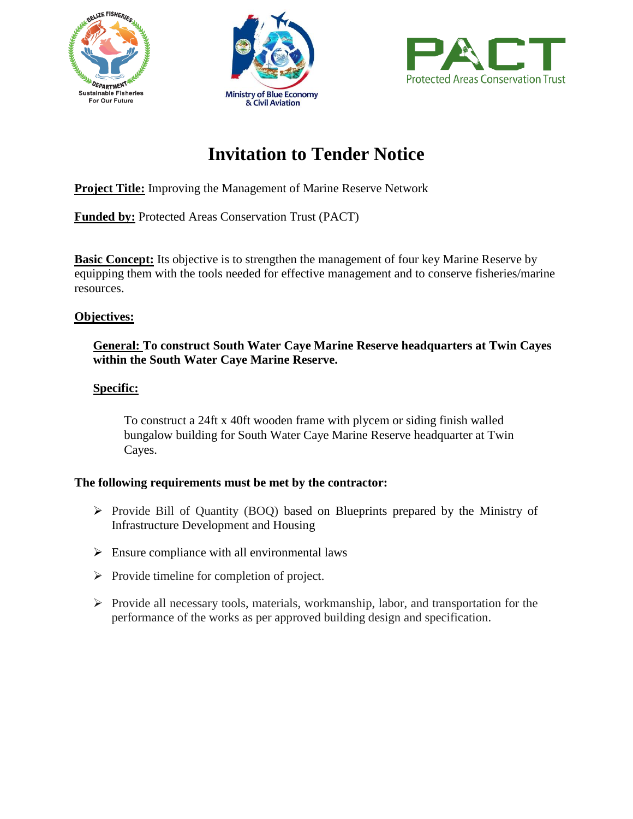





# **Invitation to Tender Notice**

**Project Title:** Improving the Management of Marine Reserve Network

**Funded by:** Protected Areas Conservation Trust (PACT)

**Basic Concept:** Its objective is to strengthen the management of four key Marine Reserve by equipping them with the tools needed for effective management and to conserve fisheries/marine resources.

## **Objectives:**

### **General: To construct South Water Caye Marine Reserve headquarters at Twin Cayes within the South Water Caye Marine Reserve.**

## **Specific:**

To construct a 24ft x 40ft wooden frame with plycem or siding finish walled bungalow building for South Water Caye Marine Reserve headquarter at Twin Cayes.

## **The following requirements must be met by the contractor:**

- $\triangleright$  Provide Bill of Quantity (BOQ) based on Blueprints prepared by the Ministry of Infrastructure Development and Housing
- $\triangleright$  Ensure compliance with all environmental laws
- $\triangleright$  Provide timeline for completion of project.
- $\triangleright$  Provide all necessary tools, materials, workmanship, labor, and transportation for the performance of the works as per approved building design and specification.